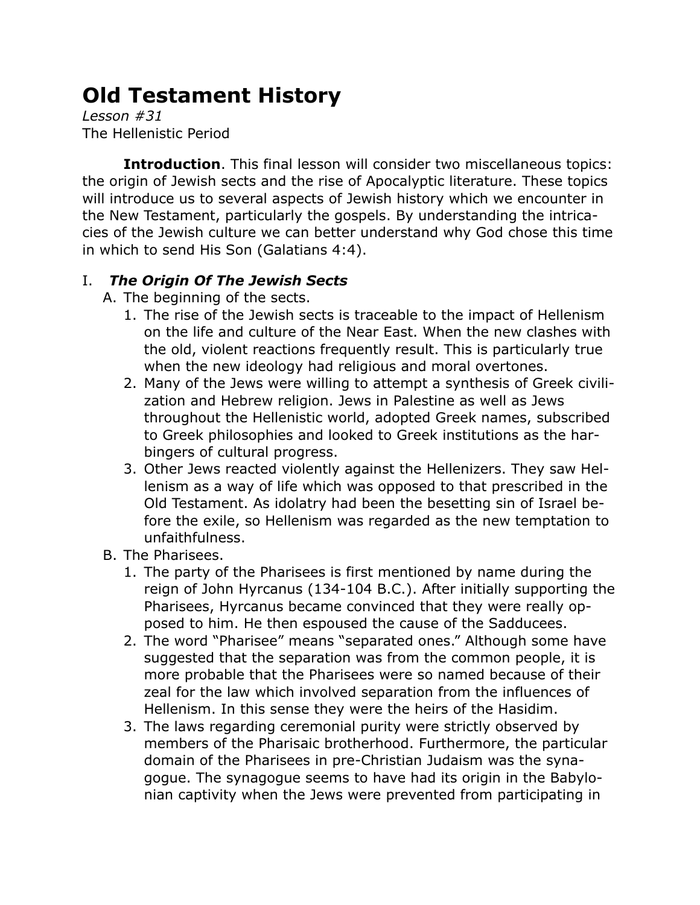## **Old Testament History**

*Lesson #31* The Hellenistic Period

**Introduction**. This final lesson will consider two miscellaneous topics: the origin of Jewish sects and the rise of Apocalyptic literature. These topics will introduce us to several aspects of Jewish history which we encounter in the New Testament, particularly the gospels. By understanding the intricacies of the Jewish culture we can better understand why God chose this time in which to send His Son (Galatians 4:4).

## I. *The Origin Of The Jewish Sects*

- A. The beginning of the sects.
	- 1. The rise of the Jewish sects is traceable to the impact of Hellenism on the life and culture of the Near East. When the new clashes with the old, violent reactions frequently result. This is particularly true when the new ideology had religious and moral overtones.
	- 2. Many of the Jews were willing to attempt a synthesis of Greek civilization and Hebrew religion. Jews in Palestine as well as Jews throughout the Hellenistic world, adopted Greek names, subscribed to Greek philosophies and looked to Greek institutions as the harbingers of cultural progress.
	- 3. Other Jews reacted violently against the Hellenizers. They saw Hellenism as a way of life which was opposed to that prescribed in the Old Testament. As idolatry had been the besetting sin of Israel before the exile, so Hellenism was regarded as the new temptation to unfaithfulness.
- B. The Pharisees.
	- 1. The party of the Pharisees is first mentioned by name during the reign of John Hyrcanus (134-104 B.C.). After initially supporting the Pharisees, Hyrcanus became convinced that they were really opposed to him. He then espoused the cause of the Sadducees.
	- 2. The word "Pharisee" means "separated ones." Although some have suggested that the separation was from the common people, it is more probable that the Pharisees were so named because of their zeal for the law which involved separation from the influences of Hellenism. In this sense they were the heirs of the Hasidim.
	- 3. The laws regarding ceremonial purity were strictly observed by members of the Pharisaic brotherhood. Furthermore, the particular domain of the Pharisees in pre-Christian Judaism was the synagogue. The synagogue seems to have had its origin in the Babylonian captivity when the Jews were prevented from participating in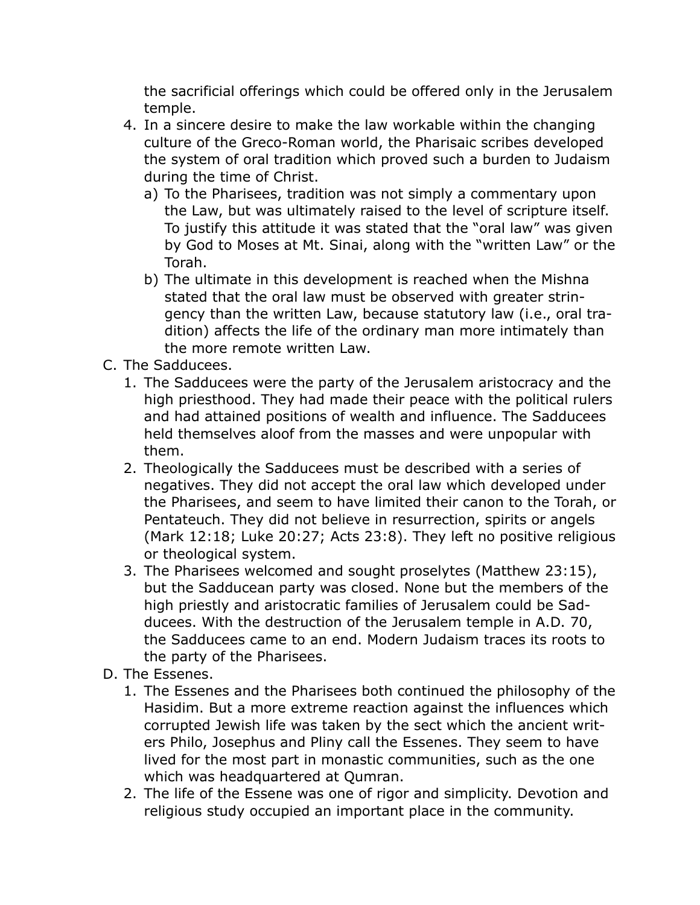the sacrificial offerings which could be offered only in the Jerusalem temple.

- 4. In a sincere desire to make the law workable within the changing culture of the Greco-Roman world, the Pharisaic scribes developed the system of oral tradition which proved such a burden to Judaism during the time of Christ.
	- a) To the Pharisees, tradition was not simply a commentary upon the Law, but was ultimately raised to the level of scripture itself. To justify this attitude it was stated that the "oral law" was given by God to Moses at Mt. Sinai, along with the "written Law" or the Torah.
	- b) The ultimate in this development is reached when the Mishna stated that the oral law must be observed with greater stringency than the written Law, because statutory law (i.e., oral tradition) affects the life of the ordinary man more intimately than the more remote written Law.
- C. The Sadducees.
	- 1. The Sadducees were the party of the Jerusalem aristocracy and the high priesthood. They had made their peace with the political rulers and had attained positions of wealth and influence. The Sadducees held themselves aloof from the masses and were unpopular with them.
	- 2. Theologically the Sadducees must be described with a series of negatives. They did not accept the oral law which developed under the Pharisees, and seem to have limited their canon to the Torah, or Pentateuch. They did not believe in resurrection, spirits or angels (Mark 12:18; Luke 20:27; Acts 23:8). They left no positive religious or theological system.
	- 3. The Pharisees welcomed and sought proselytes (Matthew 23:15), but the Sadducean party was closed. None but the members of the high priestly and aristocratic families of Jerusalem could be Sadducees. With the destruction of the Jerusalem temple in A.D. 70, the Sadducees came to an end. Modern Judaism traces its roots to the party of the Pharisees.
- D. The Essenes.
	- 1. The Essenes and the Pharisees both continued the philosophy of the Hasidim. But a more extreme reaction against the influences which corrupted Jewish life was taken by the sect which the ancient writers Philo, Josephus and Pliny call the Essenes. They seem to have lived for the most part in monastic communities, such as the one which was headquartered at Qumran.
	- 2. The life of the Essene was one of rigor and simplicity. Devotion and religious study occupied an important place in the community.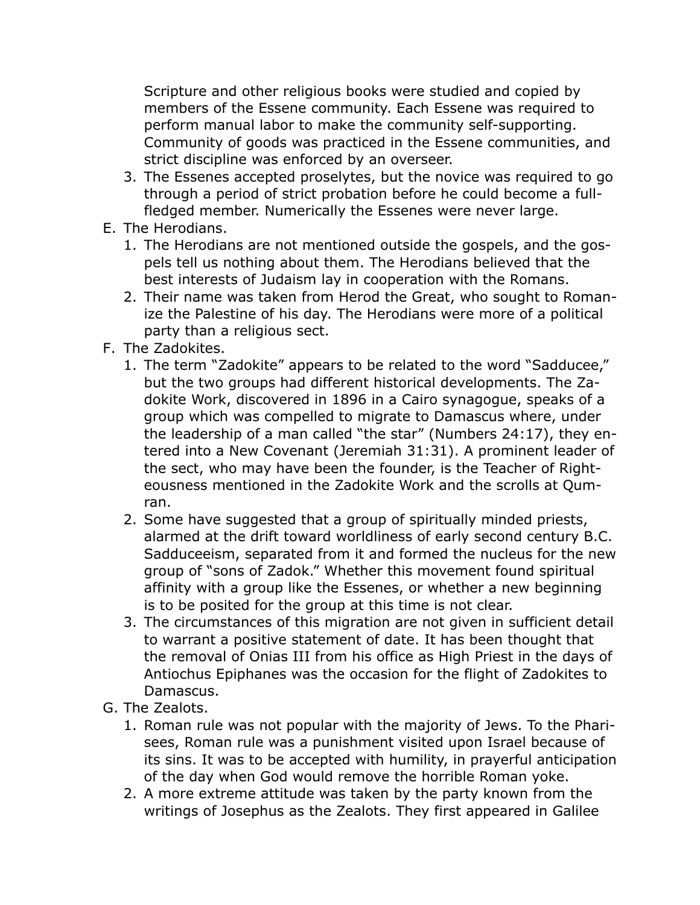Scripture and other religious books were studied and copied by members of the Essene community. Each Essene was required to perform manual labor to make the community self-supporting. Community of goods was practiced in the Essene communities, and strict discipline was enforced by an overseer.

- 3. The Essenes accepted proselytes, but the novice was required to go through a period of strict probation before he could become a fullfledged member. Numerically the Essenes were never large.
- E. The Herodians.
	- 1. The Herodians are not mentioned outside the gospels, and the gospels tell us nothing about them. The Herodians believed that the best interests of Judaism lay in cooperation with the Romans.
	- 2. Their name was taken from Herod the Great, who sought to Romanize the Palestine of his day. The Herodians were more of a political party than a religious sect.
- F. The Zadokites.
	- 1. The term "Zadokite" appears to be related to the word "Sadducee," but the two groups had different historical developments. The Zadokite Work, discovered in 1896 in a Cairo synagogue, speaks of a group which was compelled to migrate to Damascus where, under the leadership of a man called "the star" (Numbers 24:17), they entered into a New Covenant (Jeremiah 31:31). A prominent leader of the sect, who may have been the founder, is the Teacher of Righteousness mentioned in the Zadokite Work and the scrolls at Qumran.
	- 2. Some have suggested that a group of spiritually minded priests, alarmed at the drift toward worldliness of early second century B.C. Sadduceeism, separated from it and formed the nucleus for the new group of "sons of Zadok." Whether this movement found spiritual affinity with a group like the Essenes, or whether a new beginning is to be posited for the group at this time is not clear.
	- 3. The circumstances of this migration are not given in sufficient detail to warrant a positive statement of date. It has been thought that the removal of Onias III from his office as High Priest in the days of Antiochus Epiphanes was the occasion for the flight of Zadokites to Damascus.
- G. The Zealots.
	- 1. Roman rule was not popular with the majority of Jews. To the Pharisees, Roman rule was a punishment visited upon Israel because of its sins. It was to be accepted with humility, in prayerful anticipation of the day when God would remove the horrible Roman yoke.
	- 2. A more extreme attitude was taken by the party known from the writings of Josephus as the Zealots. They first appeared in Galilee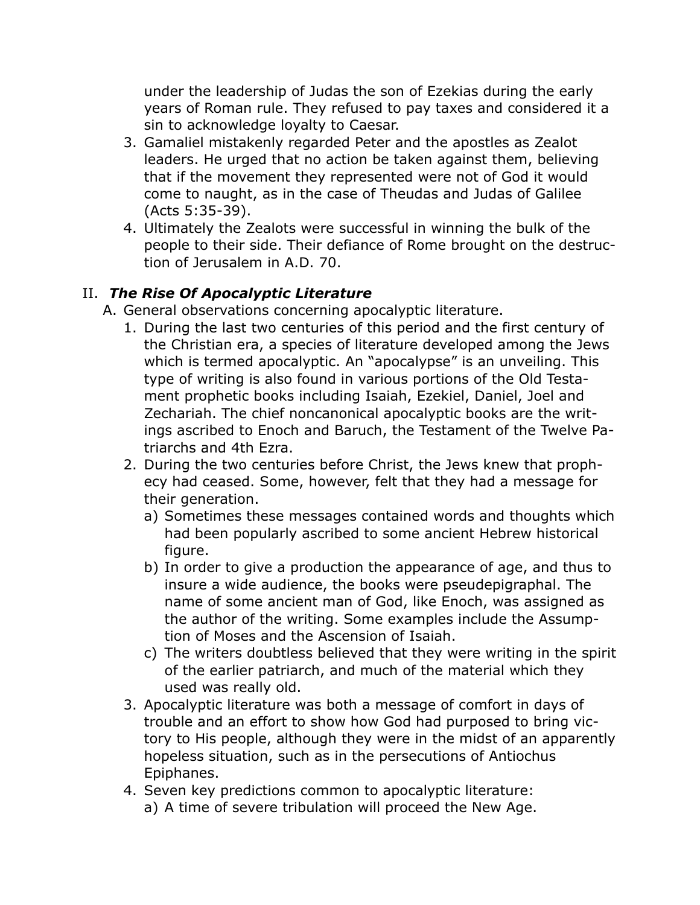under the leadership of Judas the son of Ezekias during the early years of Roman rule. They refused to pay taxes and considered it a sin to acknowledge loyalty to Caesar.

- 3. Gamaliel mistakenly regarded Peter and the apostles as Zealot leaders. He urged that no action be taken against them, believing that if the movement they represented were not of God it would come to naught, as in the case of Theudas and Judas of Galilee (Acts 5:35-39).
- 4. Ultimately the Zealots were successful in winning the bulk of the people to their side. Their defiance of Rome brought on the destruction of Jerusalem in A.D. 70.

## II. *The Rise Of Apocalyptic Literature*

- A. General observations concerning apocalyptic literature.
	- 1. During the last two centuries of this period and the first century of the Christian era, a species of literature developed among the Jews which is termed apocalyptic. An "apocalypse" is an unveiling. This type of writing is also found in various portions of the Old Testament prophetic books including Isaiah, Ezekiel, Daniel, Joel and Zechariah. The chief noncanonical apocalyptic books are the writings ascribed to Enoch and Baruch, the Testament of the Twelve Patriarchs and 4th Ezra.
	- 2. During the two centuries before Christ, the Jews knew that prophecy had ceased. Some, however, felt that they had a message for their generation.
		- a) Sometimes these messages contained words and thoughts which had been popularly ascribed to some ancient Hebrew historical figure.
		- b) In order to give a production the appearance of age, and thus to insure a wide audience, the books were pseudepigraphal. The name of some ancient man of God, like Enoch, was assigned as the author of the writing. Some examples include the Assumption of Moses and the Ascension of Isaiah.
		- c) The writers doubtless believed that they were writing in the spirit of the earlier patriarch, and much of the material which they used was really old.
	- 3. Apocalyptic literature was both a message of comfort in days of trouble and an effort to show how God had purposed to bring victory to His people, although they were in the midst of an apparently hopeless situation, such as in the persecutions of Antiochus Epiphanes.
	- 4. Seven key predictions common to apocalyptic literature: a) A time of severe tribulation will proceed the New Age.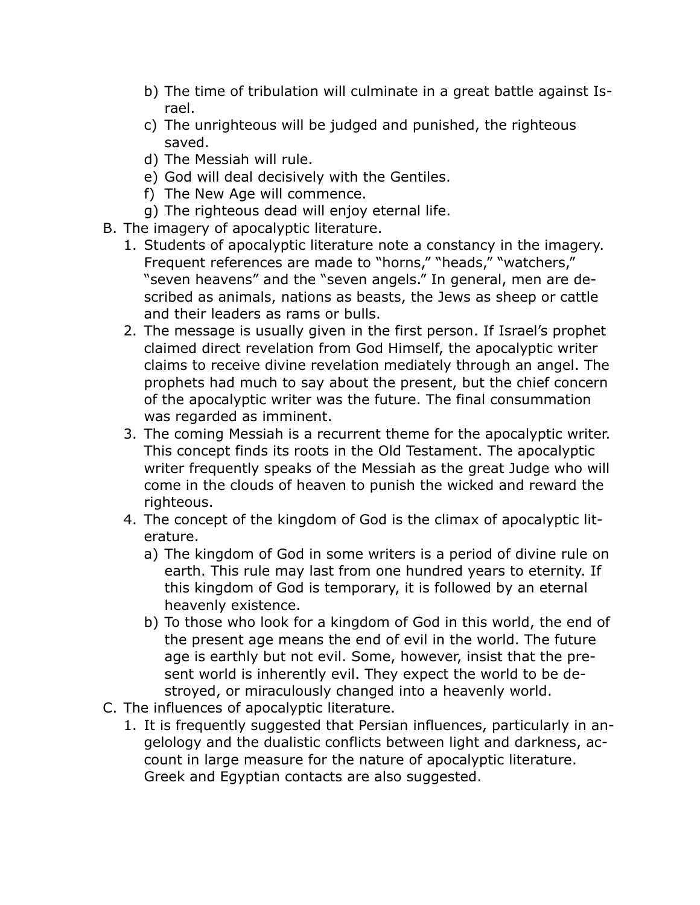- b) The time of tribulation will culminate in a great battle against Israel.
- c) The unrighteous will be judged and punished, the righteous saved.
- d) The Messiah will rule.
- e) God will deal decisively with the Gentiles.
- f) The New Age will commence.
- g) The righteous dead will enjoy eternal life.
- B. The imagery of apocalyptic literature.
	- 1. Students of apocalyptic literature note a constancy in the imagery. Frequent references are made to "horns," "heads," "watchers," "seven heavens" and the "seven angels." In general, men are described as animals, nations as beasts, the Jews as sheep or cattle and their leaders as rams or bulls.
	- 2. The message is usually given in the first person. If Israel's prophet claimed direct revelation from God Himself, the apocalyptic writer claims to receive divine revelation mediately through an angel. The prophets had much to say about the present, but the chief concern of the apocalyptic writer was the future. The final consummation was regarded as imminent.
	- 3. The coming Messiah is a recurrent theme for the apocalyptic writer. This concept finds its roots in the Old Testament. The apocalyptic writer frequently speaks of the Messiah as the great Judge who will come in the clouds of heaven to punish the wicked and reward the righteous.
	- 4. The concept of the kingdom of God is the climax of apocalyptic literature.
		- a) The kingdom of God in some writers is a period of divine rule on earth. This rule may last from one hundred years to eternity. If this kingdom of God is temporary, it is followed by an eternal heavenly existence.
		- b) To those who look for a kingdom of God in this world, the end of the present age means the end of evil in the world. The future age is earthly but not evil. Some, however, insist that the present world is inherently evil. They expect the world to be destroyed, or miraculously changed into a heavenly world.
- C. The influences of apocalyptic literature.
	- 1. It is frequently suggested that Persian influences, particularly in angelology and the dualistic conflicts between light and darkness, account in large measure for the nature of apocalyptic literature. Greek and Egyptian contacts are also suggested.